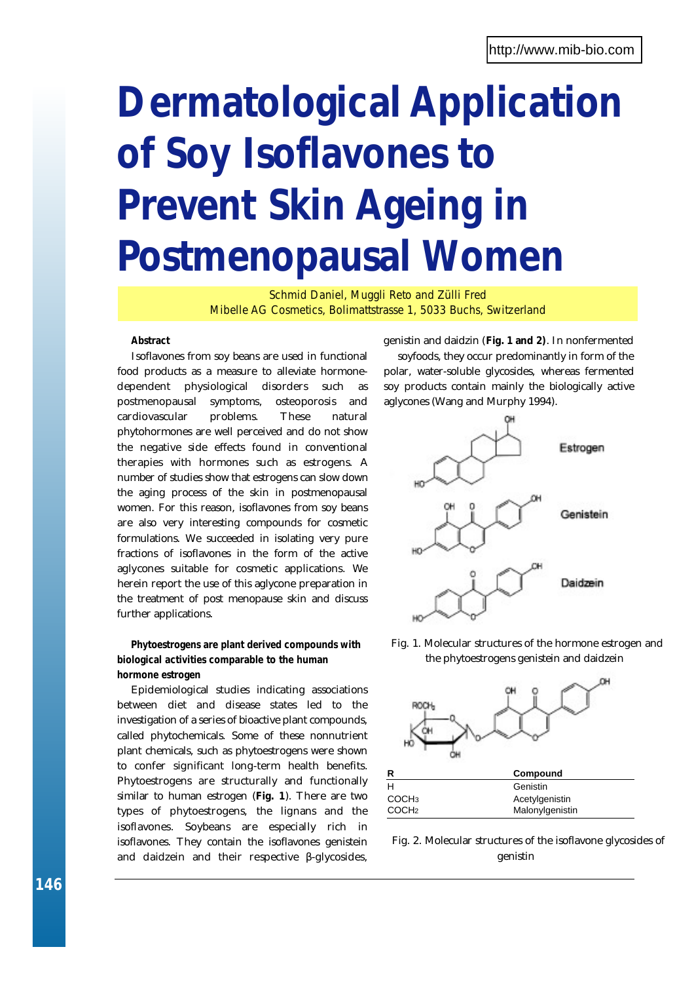# **Dermatological Application of Soy Isoflavones to Prevent Skin Ageing in Postmenopausal Women**

*Schmid Daniel, Muggli Reto and Zülli Fred Mibelle AG Cosmetics, Bolimattstrasse 1, 5033 Buchs, Switzerland*

## **Abstract**

Isoflavones from soy beans are used in functional food products as a measure to alleviate hormonedependent physiological disorders such as postmenopausal symptoms, osteoporosis and cardiovascular problems. These natural phytohormones are well perceived and do not show the negative side effects found in conventional therapies with hormones such as estrogens. A number of studies show that estrogens can slow down the aging process of the skin in postmenopausal women. For this reason, isoflavones from soy beans are also very interesting compounds for cosmetic formulations. We succeeded in isolating very pure fractions of isoflavones in the form of the active aglycones suitable for cosmetic applications. We herein report the use of this aglycone preparation in the treatment of post menopause skin and discuss further applications.

## **Phytoestrogens are plant derived compounds with biological activities comparable to the human hormone estrogen**

Epidemiological studies indicating associations between diet and disease states led to the investigation of a series of bioactive plant compounds, called phytochemicals. Some of these nonnutrient plant chemicals, such as phytoestrogens were shown to confer significant long-term health benefits. Phytoestrogens are structurally and functionally similar to human estrogen (**Fig. 1**). There are two types of phytoestrogens, the lignans and the isoflavones. Soybeans are especially rich in isoflavones. They contain the isoflavones genistein and daidzein and their respective -glycosides,

genistin and daidzin (**Fig. 1 and 2)**. In nonfermented

soyfoods, they occur predominantly in form of the polar, water-soluble glycosides, whereas fermented soy products contain mainly the biologically active aglycones (Wang and Murphy 1994).



*Fig. 1. Molecular structures of the hormone estrogen and the phytoestrogens genistein and daidzein*



*Fig. 2. Molecular structures of the isoflavone glycosides of genistin*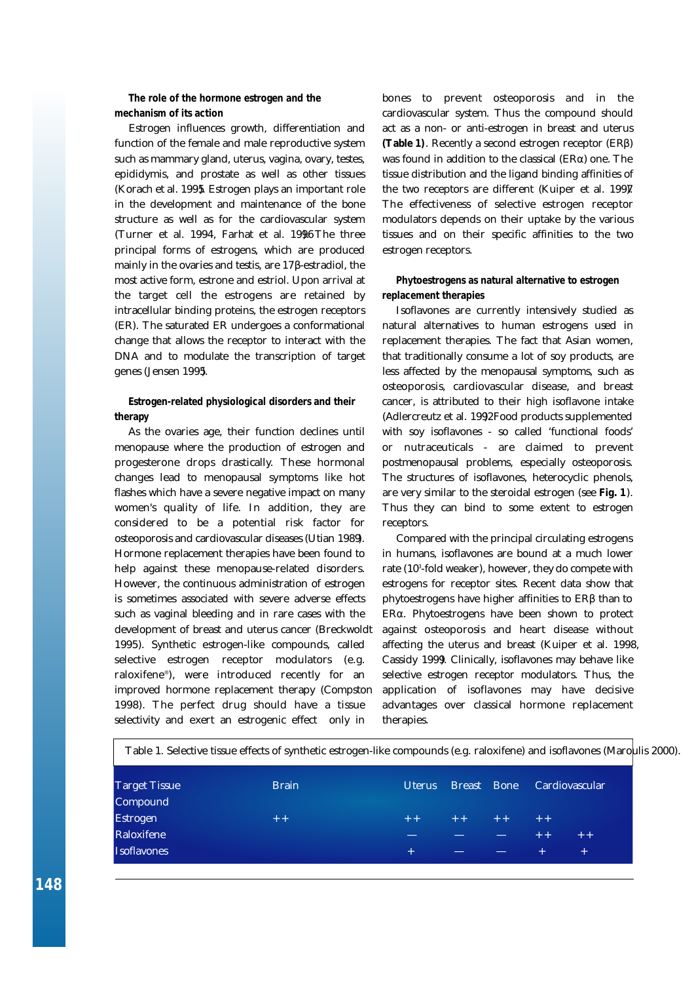## **The role of the hormone estrogen and the mechanism of its action**

Estrogen influences growth, differentiation and function of the female and male reproductive system such as mammary gland, uterus, vagina, ovary, testes, epididymis, and prostate as well as other tissues (*Korach et al. 1995*). Estrogen plays an important role in the development and maintenance of the bone structure as well as for the cardiovascular system (*Turner et al. 1994, Farhat et al. 19*06). The three principal forms of estrogens, which are produced mainly in the ovaries and testis, are 17 -estradiol, the most active form, estrone and estriol. Upon arrival at the target cell the estrogens are retained by intracellular binding proteins, the estrogen receptors (ER). The saturated ER undergoes a conformational change that allows the receptor to interact with the DNA and to modulate the transcription of target genes (*Jensen 1995*).

## **Estrogen-related physiological disorders and their therapy**

As the ovaries age, their function declines until menopause where the production of estrogen and progesterone drops drastically. These hormonal changes lead to menopausal symptoms like hot flashes which have a severe negative impact on many women's quality of life. In addition, they are considered to be a potential risk factor for osteoporosis and cardiovascular diseases (*Utian 1989*). Hormone replacement therapies have been found to help against these menopause-related disorders. However, the continuous administration of estrogen is sometimes associated with severe adverse effects such as vaginal bleeding and in rare cases with the development of breast and uterus cancer (*Breckwoldt* 1995). Synthetic estrogen-like compounds, called selective estrogen receptor modulators (e.g. raloxifene®), were introduced recently for an improved hormone replacement therapy (*Compston* 1998). The perfect drug should have a tissue selectivity and exert an estrogenic effect only in

bones to prevent osteoporosis and in the cardiovascular system. Thus the compound should act as a non- or anti-estrogen in breast and uterus **(Table 1)**. Recently a second estrogen receptor (ER ) was found in addition to the classical (ER ) one. The tissue distribution and the ligand binding affinities of the two receptors are different (*Kuiper et al. 1997*). The effectiveness of selective estrogen receptor modulators depends on their uptake by the various tissues and on their specific affinities to the two estrogen receptors.

## **Phytoestrogens as natural alternative to estrogen replacement therapies**

Isoflavones are currently intensively studied as natural alternatives to human estrogens used in replacement therapies. The fact that Asian women, that traditionally consume a lot of soy products, are less affected by the menopausal symptoms, such as osteoporosis, cardiovascular disease, and breast cancer, is attributed to their high isoflavone intake (*Adlercreutz et al. 1992*Food products supplemented with soy isoflavones - so called 'functional foods' or nutraceuticals - are claimed to prevent postmenopausal problems, especially osteoporosis. The structures of isoflavones, heterocyclic phenols, are very similar to the steroidal estrogen (see **Fig. 1**). Thus they can bind to some extent to estrogen receptors.

Compared with the principal circulating estrogens in humans, isoflavones are bound at a much lower rate (10<sup>3</sup> -fold weaker), however, they do compete with estrogens for receptor sites. Recent data show that phytoestrogens have higher affinities to ER than to ER . Phytoestrogens have been shown to protect against osteoporosis and heart disease without affecting the uterus and breast (*Kuiper et al. 1998, Cassidy 1999*). Clinically, isoflavones may behave like selective estrogen receptor modulators. Thus, the application of isoflavones may have decisive advantages over classical hormone replacement therapies.

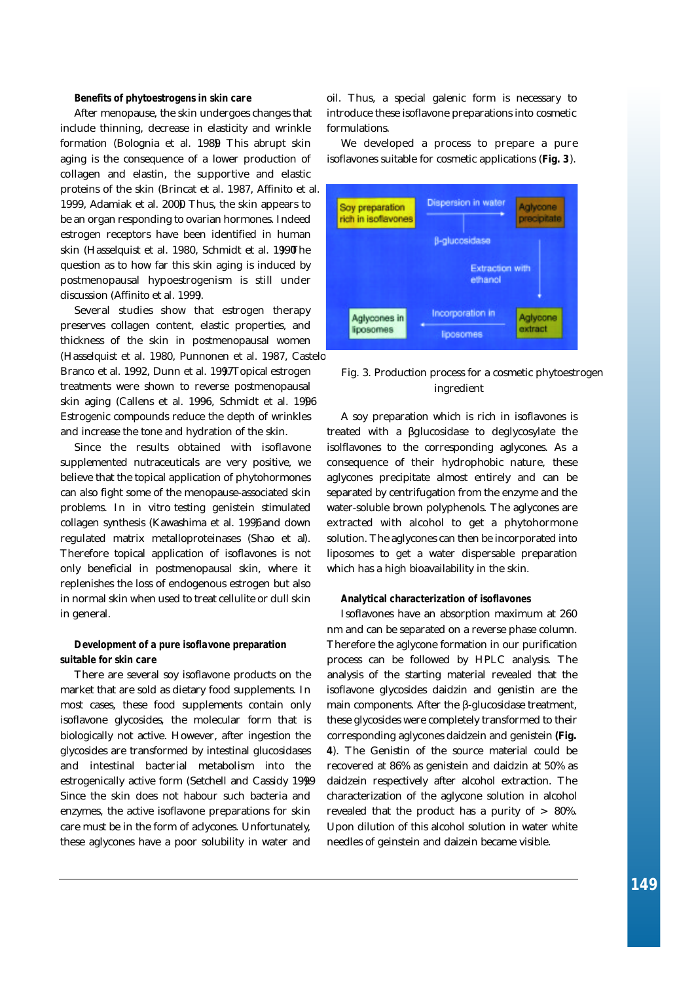#### **Benefits of phytoestrogens in skin care**

After menopause, the skin undergoes changes that include thinning, decrease in elasticity and wrinkle formation *(Bolognia et al. 1989*). This abrupt skin aging is the consequence of a lower production of collagen and elastin, the supportive and elastic proteins of the skin (*Brincat et al. 1987, Affinito et al.* 1999, Adamiak et al. 2000 Thus, the skin appears to be an organ responding to ovarian hormones. Indeed estrogen receptors have been identified in human skin (*Hasselquist et al. 1980, Schmidt et al. 1990*The question as to how far this skin aging is induced by postmenopausal hypoestrogenism is still under discussion (*Affinito et al. 1999*).

Several studies show that estrogen therapy preserves collagen content, elastic properties, and thickness of the skin in postmenopausal women (*Hasselquist et al. 1980, Punnonen et al. 1987, Castelo-Branco et al. 1992, Dunn et al. 199.7* Topical estrogen

treatments were shown to reverse postmenopausal skin aging (*Callens et al. 1996, Schmidt et al. 1996*). Estrogenic compounds reduce the depth of wrinkles and increase the tone and hydration of the skin.

Since the results obtained with isoflavone supplemented nutraceuticals are very positive, we believe that the topical application of phytohormones can also fight some of the menopause-associated skin problems. In *in vitro* testing genistein stimulated collagen synthesis (*Kawashima et al. 1996* and down regulated matrix metalloproteinases (Shao et al. Therefore topical application of isoflavones is not only beneficial in postmenopausal skin, where it replenishes the loss of endogenous estrogen but also in normal skin when used to treat cellulite or dull skin in general.

### **Development of a pure isoflavone preparation suitable for skin care**

There are several soy isoflavone products on the market that are sold as dietary food supplements. In most cases, these food supplements contain only isoflavone glycosides, the molecular form that is biologically not active. However, after ingestion the glycosides are transformed by intestinal glucosidases and intestinal bacterial metabolism into the estrogenically active form (*Setchell and Cassidy 1999*). Since the skin does not habour such bacteria and enzymes, the active isoflavone preparations for skin care must be in the form of aclycones. Unfortunately, these aglycones have a poor solubility in water and

oil. Thus, a special galenic form is necessary to introduce these isoflavone preparations into cosmetic formulations.

We developed a process to prepare a pure isoflavones suitable for cosmetic applications (**Fig. 3**).



## *Fig. 3. Production process for a cosmetic phytoestrogen ingredient*

A soy preparation which is rich in isoflavones is treated with a glucosidase to deglycosylate the isolflavones to the corresponding aglycones. As a consequence of their hydrophobic nature, these aglycones precipitate almost entirely and can be separated by centrifugation from the enzyme and the water-soluble brown polyphenols. The aglycones are extracted with alcohol to get a phytohormone solution. The aglycones can then be incorporated into liposomes to get a water dispersable preparation which has a high bioavailability in the skin.

#### **Analytical characterization of isoflavones**

Isoflavones have an absorption maximum at 260 nm and can be separated on a reverse phase column. Therefore the aglycone formation in our purification process can be followed by HPLC analysis. The analysis of the starting material revealed that the isoflavone glycosides daidzin and genistin are the main components. After the -glucosidase treatment, these glycosides were completely transformed to their corresponding aglycones daidzein and genistein **(Fig. 4**). The Genistin of the source material could be recovered at 86% as genistein and daidzin at 50% as daidzein respectively after alcohol extraction. The characterization of the aglycone solution in alcohol revealed that the product has a purity of > 80%. Upon dilution of this alcohol solution in water white needles of geinstein and daizein became visible.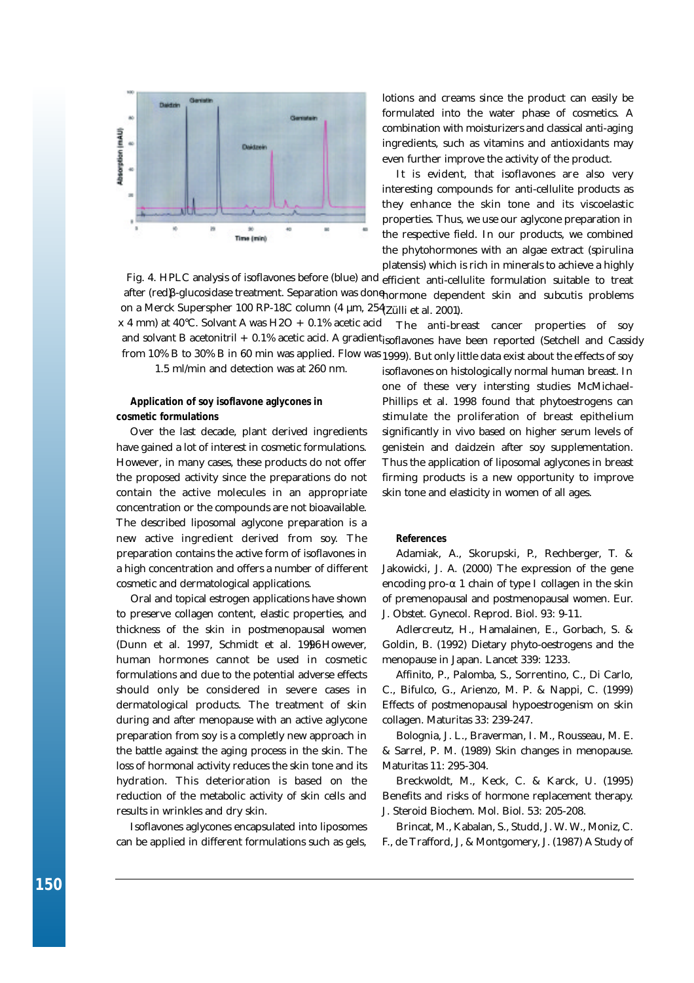

*Fig. 4. HPLC analysis of isoflavones before (blue) and* efficient anti-cellulite formulation suitable to treat after (red) -glucosidase treatment. Separation was done<sub>normone dependent skin and subcutis problems</sub> (*Zülli et al. 2001*). *on a Merck Superspher 100 RP-18C column (4 µm, 254 x 4 mm) at 40°C. Solvant A was H2O + 0.1% acetic acid*

The anti-breast cancer properties of soy and solvant B acetonitril + 0.1% acetic acid. A gradient<sub>isoflavones have been reported (Setchell and Cassidy</sub> *from 10% B to 30% B in 60 min was applied. Flow was <sub>1999)</sub>. But only little data exist about the effects of soy* 

*1.5 ml/min and detection was at 260 nm.*

## **Application of soy isoflavone aglycones in cosmetic formulations**

Over the last decade, plant derived ingredients have gained a lot of interest in cosmetic formulations. However, in many cases, these products do not offer the proposed activity since the preparations do not contain the active molecules in an appropriate concentration or the compounds are not bioavailable. The described liposomal aglycone preparation is a new active ingredient derived from soy. The preparation contains the active form of isoflavones in a high concentration and offers a number of different cosmetic and dermatological applications.

Oral and topical estrogen applications have shown to preserve collagen content, elastic properties, and thickness of the skin in postmenopausal women (Dunn et al. 1997, Schmidt et al. 1996However, human hormones cannot be used in cosmetic formulations and due to the potential adverse effects should only be considered in severe cases in dermatological products. The treatment of skin during and after menopause with an active aglycone preparation from soy is a completly new approach in the battle against the aging process in the skin. The loss of hormonal activity reduces the skin tone and its hydration. This deterioration is based on the reduction of the metabolic activity of skin cells and results in wrinkles and dry skin.

Isoflavones aglycones encapsulated into liposomes can be applied in different formulations such as gels,

lotions and creams since the product can easily be formulated into the water phase of cosmetics. A combination with moisturizers and classical anti-aging ingredients, such as vitamins and antioxidants may even further improve the activity of the product.

It is evident, that isoflavones are also very interesting compounds for anti-cellulite products as they enhance the skin tone and its viscoelastic properties. Thus, we use our aglycone preparation in the respective field. In our products, we combined the phytohormones with an algae extract (spirulina platensis) which is rich in minerals to achieve a highly

isoflavones on histologically normal human breast. In one of these very intersting studies McMichael-Phillips et al. 1998 found that phytoestrogens can stimulate the proliferation of breast epithelium significantly in vivo based on higher serum levels of genistein and daidzein after soy supplementation. Thus the application of liposomal aglycones in breast firming products is a new opportunity to improve skin tone and elasticity in women of all ages.

#### **References**

Adamiak, A., Skorupski, P., Rechberger, T. & Jakowicki, J. A. (2000) The expression of the gene encoding pro- 1 chain of type I collagen in the skin of premenopausal and postmenopausal women. Eur. J. Obstet. Gynecol. Reprod. Biol. 93: 9-11.

Adlercreutz, H., Hamalainen, E., Gorbach, S. & Goldin, B. (1992) Dietary phyto-oestrogens and the menopause in Japan. Lancet 339: 1233.

Affinito, P., Palomba, S., Sorrentino, C., Di Carlo, C., Bifulco, G., Arienzo, M. P. & Nappi, C. (1999) Effects of postmenopausal hypoestrogenism on skin collagen. Maturitas 33: 239-247.

Bolognia, J. L., Braverman, I. M., Rousseau, M. E. & Sarrel, P. M. (1989) Skin changes in menopause. Maturitas 11: 295-304.

Breckwoldt, M., Keck, C. & Karck, U. (1995) Benefits and risks of hormone replacement therapy. J. Steroid Biochem. Mol. Biol. 53: 205-208.

Brincat, M., Kabalan, S., Studd, J. W. W., Moniz, C. F., de Trafford, J, & Montgomery, J. (1987) A Study of